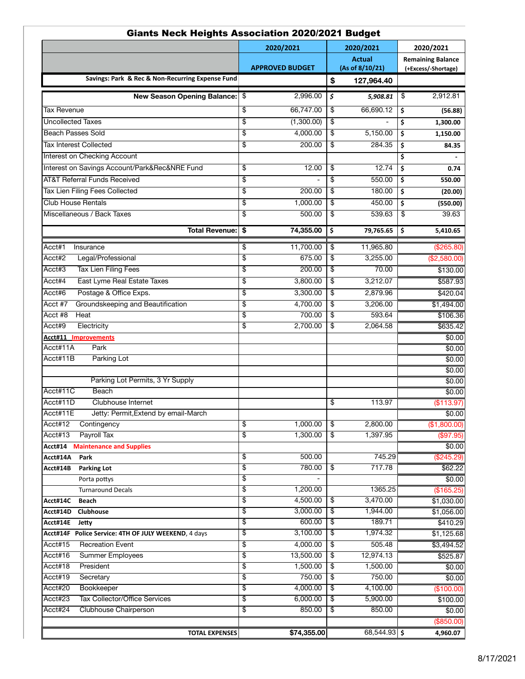| Giants Neck Heights Association ZUZU/ZUZ1 Budget                          |                          |                        |          |                            |                                                 |
|---------------------------------------------------------------------------|--------------------------|------------------------|----------|----------------------------|-------------------------------------------------|
|                                                                           |                          | 2020/2021              |          | 2020/2021<br><b>Actual</b> | 2020/2021                                       |
|                                                                           |                          | <b>APPROVED BUDGET</b> |          | (As of 8/10/21)            | <b>Remaining Balance</b><br>(+Excess/-Shortage) |
| Savings: Park & Rec & Non-Recurring Expense Fund                          |                          |                        | \$       | 127,964.40                 |                                                 |
| <b>New Season Opening Balance:</b>                                        | \$                       | 2,996.00               | \$       | 5,908.81                   | \$<br>2,912.81                                  |
| <b>Tax Revenue</b>                                                        | \$                       | 66,747.00              | \$       | 66,690.12                  | \$<br>(56.88)                                   |
| <b>Uncollected Taxes</b>                                                  | \$                       | (1,300.00)             | \$       |                            | \$<br>1,300.00                                  |
| <b>Beach Passes Sold</b>                                                  | $\overline{\mathcal{E}}$ | 4,000.00               | \$       | 5,150.00                   | \$<br>1,150.00                                  |
| <b>Tax Interest Collected</b>                                             | \$                       | 200.00                 | \$       | 284.35                     | \$<br>84.35                                     |
| Interest on Checking Account                                              |                          |                        |          |                            | \$                                              |
| Interest on Savings Account/Park&Rec&NRE Fund                             | $\overline{\$}$          | 12.00                  | \$       | 12.74                      | \$<br>0.74                                      |
| <b>AT&amp;T Referral Funds Received</b>                                   | $\overline{\$}$          |                        | \$       | 550.00                     | \$<br>550.00                                    |
| <b>Tax Lien Filing Fees Collected</b>                                     | \$                       | 200.00                 | \$       | 180.00                     | \$                                              |
| <b>Club House Rentals</b>                                                 | $\overline{\mathcal{E}}$ | 1,000.00               | \$       | 450.00                     | (20.00)                                         |
| Miscellaneous / Back Taxes                                                | \$                       |                        |          |                            | \$<br>(550.00)                                  |
|                                                                           |                          | 500.00                 | \$       | 539.63                     | \$<br>39.63                                     |
| Total Revenue:                                                            | \$                       | 74,355.00              | \$       | 79,765.65                  | \$<br>5,410.65                                  |
| Acct#1<br>Insurance                                                       | \$                       | 11,700.00              | \$       | 11,965.80                  | (\$265.80)                                      |
| Acct#2<br>Legal/Professional                                              | \$                       | 675.00                 | \$       | 3,255.00                   | (\$2,580.00)                                    |
| Acct#3<br><b>Tax Lien Filing Fees</b>                                     | \$                       | 200.00                 | \$       | 70.00                      | \$130.00                                        |
| Acct#4<br>East Lyme Real Estate Taxes                                     | \$                       | 3,800.00               | \$       | 3,212.07                   | \$587.93                                        |
| Acct#6<br>Postage & Office Exps.                                          | \$                       | 3,300.00               | \$       | 2,879.96                   | \$420.04                                        |
| Acct #7<br>Groundskeeping and Beautification                              | \$                       | 4,700.00               | \$       | 3,206.00                   | \$1,494.00                                      |
| Acct #8<br>Heat                                                           | \$                       | 700.00                 | \$       | 593.64                     | \$106.36                                        |
| Acct#9<br>Electricity                                                     | \$                       | 2,700.00               | \$       | 2,064.58                   | \$635.42                                        |
| Acct#11 Improvements                                                      |                          |                        |          |                            | \$0.00                                          |
| Acct#11A<br>Park                                                          |                          |                        |          |                            | \$0.00                                          |
| Parking Lot<br>Acct#11B                                                   |                          |                        |          |                            | \$0.00                                          |
|                                                                           |                          |                        |          |                            | \$0.00                                          |
| Parking Lot Permits, 3 Yr Supply                                          |                          |                        |          |                            | \$0.00                                          |
| Acct#11C<br><b>Beach</b>                                                  |                          |                        |          |                            | \$0.00                                          |
| Acct#11D<br>Clubhouse Internet                                            |                          |                        | \$       | 113.97                     | (\$113.97)                                      |
| Acct#11E<br>Jetty: Permit, Extend by email-March                          |                          |                        |          |                            | \$0.00                                          |
| Acct#12<br>Contingency                                                    | \$                       | 1,000.00               | \$       | 2,800.00                   | (\$1,800.00)                                    |
| Acct#13<br>Payroll Tax                                                    | \$                       | 1,300.00               | \$       | 1,397.95                   | (\$97.95)                                       |
| <b>Maintenance and Supplies</b><br>Acct#14                                |                          |                        |          |                            | \$0.00                                          |
| Acct#14A<br>Park                                                          | $\overline{\$}$          | 500.00                 |          | 745.29                     | (\$245.29)                                      |
| Acct#14B<br><b>Parking Lot</b>                                            | \$                       | 780.00                 | \$       | 717.78                     | \$62.22                                         |
| Porta pottys                                                              | \$                       |                        |          |                            | \$0.00                                          |
| <b>Turnaround Decals</b>                                                  | \$                       | 1,200.00               |          | 1365.25                    | (\$165.25)                                      |
| Acct#14C<br><b>Beach</b>                                                  | $\overline{\$}$          | 4,500.00               | \$       | 3,470.00                   | \$1,030.00                                      |
| Clubhouse<br>Acct#14D                                                     | $\overline{\$}$<br>\$    | 3,000.00<br>600.00     | \$<br>\$ | 1,944.00<br>189.71         | \$1,056.00                                      |
| Acct#14E<br>Jetty<br>Acct#14F Police Service: 4TH OF JULY WEEKEND, 4 days | \$                       | 3,100.00               | \$       | 1,974.32                   | \$410.29<br>\$1,125.68                          |
| Acct#15<br><b>Recreation Event</b>                                        | \$                       | 4,000.00               | \$       | 505.48                     | \$3,494.52                                      |
| Acct#16<br><b>Summer Employees</b>                                        | \$                       | 13,500.00              | \$       | 12,974.13                  | \$525.87                                        |
| Acct#18<br>President                                                      | \$                       | 1,500.00               | \$       | 1,500.00                   | \$0.00                                          |
| Acct#19<br>Secretary                                                      | $\overline{\$}$          | 750.00                 | \$       | 750.00                     | \$0.00                                          |
| Acct#20<br>Bookkeeper                                                     | \$                       | 4,000.00               | \$       | 4,100.00                   | (\$100.00)                                      |
| Acct#23<br><b>Tax Collector/Office Services</b>                           | \$                       | 6,000.00               | \$       | 5,900.00                   | \$100.00                                        |
| Acct#24<br><b>Clubhouse Chairperson</b>                                   | \$                       | 850.00                 | \$       | 850.00                     | \$0.00                                          |
|                                                                           |                          |                        |          |                            | (\$850.00)                                      |
| <b>TOTAL EXPENSES</b>                                                     |                          | \$74,355.00            |          | $68,544.93$ \$             | 4,960.07                                        |

## Giants Neck Heights Association 2020/2021 Budget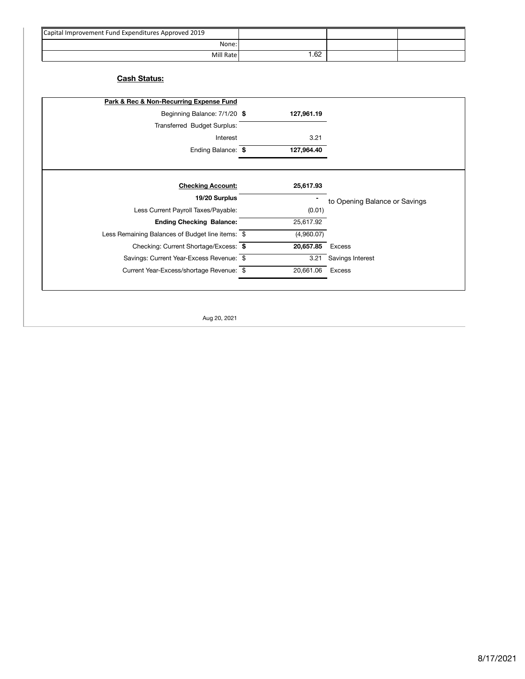| Capital Improvement Fund Expenditures Approved 2019 |     |  |
|-----------------------------------------------------|-----|--|
| None:                                               |     |  |
| Mill Rate                                           | .62 |  |

## **Cash Status:**

|                               |                  | Park & Rec & Non-Recurring Expense Fund          |
|-------------------------------|------------------|--------------------------------------------------|
|                               | 127,961.19       | Beginning Balance: 7/1/20 \$                     |
|                               |                  | Transferred Budget Surplus:                      |
|                               | 3.21             | Interest                                         |
|                               | 127,964.40       | Ending Balance: \$                               |
|                               | 25,617.93        | <b>Checking Account:</b>                         |
| to Opening Balance or Savings |                  | 19/20 Surplus                                    |
|                               | (0.01)           | Less Current Payroll Taxes/Payable:              |
|                               | 25,617.92        | <b>Ending Checking Balance:</b>                  |
|                               | (4,960.07)       | Less Remaining Balances of Budget line items: \$ |
|                               | 20,657.85 Excess | Checking: Current Shortage/Excess: \$            |
|                               |                  | Savings: Current Year-Excess Revenue: \$         |
| 3.21 Savings Interest         |                  |                                                  |

Aug 20, 2021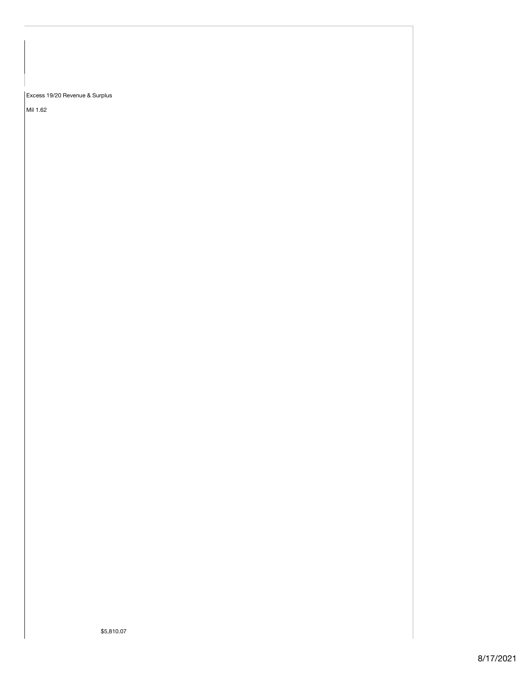Excess 19/20 Revenue & Surplus

Mil 1.62